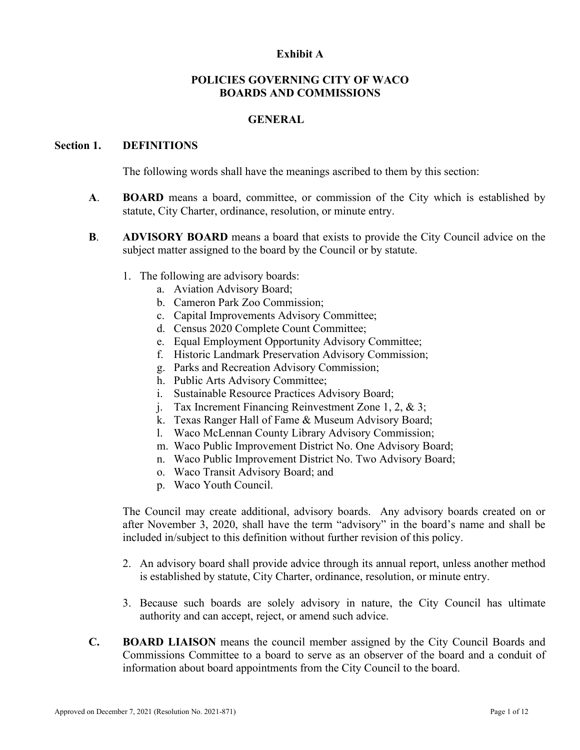### **Exhibit A**

## **POLICIES GOVERNING CITY OF WACO BOARDS AND COMMISSIONS**

#### **GENERAL**

#### **Section 1. DEFINITIONS**

The following words shall have the meanings ascribed to them by this section:

- **A**. **BOARD** means a board, committee, or commission of the City which is established by statute, City Charter, ordinance, resolution, or minute entry.
- **B**. **ADVISORY BOARD** means a board that exists to provide the City Council advice on the subject matter assigned to the board by the Council or by statute.
	- 1. The following are advisory boards:
		- a. Aviation Advisory Board;
		- b. Cameron Park Zoo Commission;
		- c. Capital Improvements Advisory Committee;
		- d. Census 2020 Complete Count Committee;
		- e. Equal Employment Opportunity Advisory Committee;
		- f. Historic Landmark Preservation Advisory Commission;
		- g. Parks and Recreation Advisory Commission;
		- h. Public Arts Advisory Committee;
		- i. Sustainable Resource Practices Advisory Board;
		- j. Tax Increment Financing Reinvestment Zone 1, 2, & 3;
		- k. Texas Ranger Hall of Fame & Museum Advisory Board;
		- l. Waco McLennan County Library Advisory Commission;
		- m. Waco Public Improvement District No. One Advisory Board;
		- n. Waco Public Improvement District No. Two Advisory Board;
		- o. Waco Transit Advisory Board; and
		- p. Waco Youth Council.

The Council may create additional, advisory boards. Any advisory boards created on or after November 3, 2020, shall have the term "advisory" in the board's name and shall be included in/subject to this definition without further revision of this policy.

- 2. An advisory board shall provide advice through its annual report, unless another method is established by statute, City Charter, ordinance, resolution, or minute entry.
- 3. Because such boards are solely advisory in nature, the City Council has ultimate authority and can accept, reject, or amend such advice.
- **C. BOARD LIAISON** means the council member assigned by the City Council Boards and Commissions Committee to a board to serve as an observer of the board and a conduit of information about board appointments from the City Council to the board.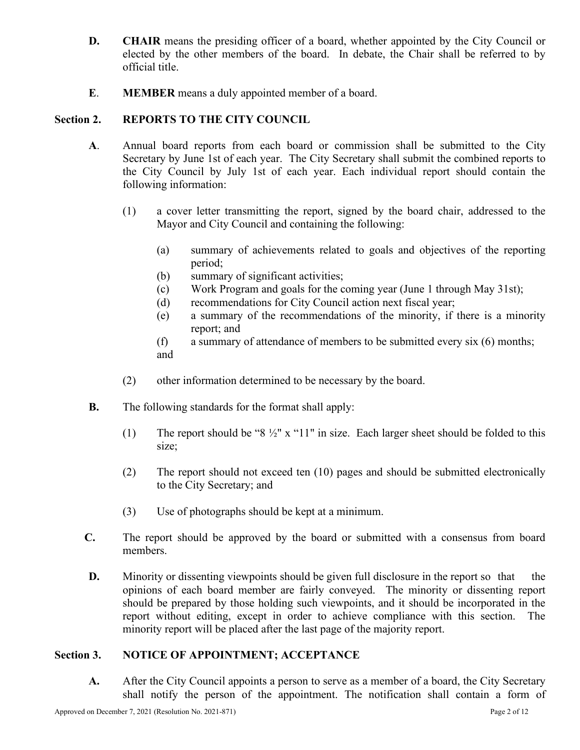- **D. CHAIR** means the presiding officer of a board, whether appointed by the City Council or elected by the other members of the board. In debate, the Chair shall be referred to by official title.
- **E**. **MEMBER** means a duly appointed member of a board.

## **Section 2. REPORTS TO THE CITY COUNCIL**

- **A**. Annual board reports from each board or commission shall be submitted to the City Secretary by June 1st of each year. The City Secretary shall submit the combined reports to the City Council by July 1st of each year. Each individual report should contain the following information:
	- (1) a cover letter transmitting the report, signed by the board chair, addressed to the Mayor and City Council and containing the following:
		- (a) summary of achievements related to goals and objectives of the reporting period;
		- (b) summary of significant activities;
		- (c) Work Program and goals for the coming year (June 1 through May 31st);
		- (d) recommendations for City Council action next fiscal year;
		- (e) a summary of the recommendations of the minority, if there is a minority report; and
		- (f) a summary of attendance of members to be submitted every six (6) months; and
	- (2) other information determined to be necessary by the board.
- **B.** The following standards for the format shall apply:
	- (1) The report should be " $8\frac{1}{2}$ " x "11" in size. Each larger sheet should be folded to this size;
	- (2) The report should not exceed ten (10) pages and should be submitted electronically to the City Secretary; and
	- (3) Use of photographs should be kept at a minimum.
- **C.** The report should be approved by the board or submitted with a consensus from board members.
- **D.** Minority or dissenting viewpoints should be given full disclosure in the report so that the opinions of each board member are fairly conveyed. The minority or dissenting report should be prepared by those holding such viewpoints, and it should be incorporated in the report without editing, except in order to achieve compliance with this section. The minority report will be placed after the last page of the majority report.

## **Section 3. NOTICE OF APPOINTMENT; ACCEPTANCE**

**A.** After the City Council appoints a person to serve as a member of a board, the City Secretary shall notify the person of the appointment. The notification shall contain a form of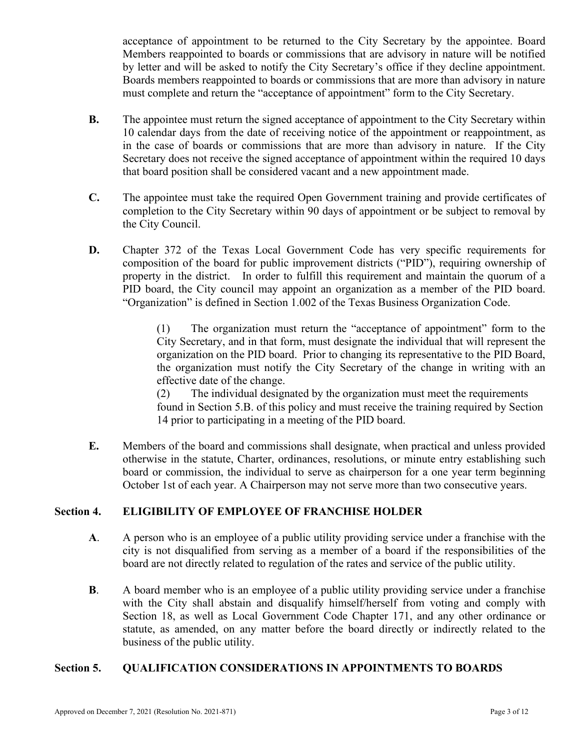acceptance of appointment to be returned to the City Secretary by the appointee. Board Members reappointed to boards or commissions that are advisory in nature will be notified by letter and will be asked to notify the City Secretary's office if they decline appointment. Boards members reappointed to boards or commissions that are more than advisory in nature must complete and return the "acceptance of appointment" form to the City Secretary.

- **B.** The appointee must return the signed acceptance of appointment to the City Secretary within 10 calendar days from the date of receiving notice of the appointment or reappointment, as in the case of boards or commissions that are more than advisory in nature. If the City Secretary does not receive the signed acceptance of appointment within the required 10 days that board position shall be considered vacant and a new appointment made.
- **C.** The appointee must take the required Open Government training and provide certificates of completion to the City Secretary within 90 days of appointment or be subject to removal by the City Council.
- **D.** Chapter 372 of the Texas Local Government Code has very specific requirements for composition of the board for public improvement districts ("PID"), requiring ownership of property in the district. In order to fulfill this requirement and maintain the quorum of a PID board, the City council may appoint an organization as a member of the PID board. "Organization" is defined in Section 1.002 of the Texas Business Organization Code.

(1) The organization must return the "acceptance of appointment" form to the City Secretary, and in that form, must designate the individual that will represent the organization on the PID board. Prior to changing its representative to the PID Board, the organization must notify the City Secretary of the change in writing with an effective date of the change.

(2) The individual designated by the organization must meet the requirements found in Section 5.B. of this policy and must receive the training required by Section 14 prior to participating in a meeting of the PID board.

**E.** Members of the board and commissions shall designate, when practical and unless provided otherwise in the statute, Charter, ordinances, resolutions, or minute entry establishing such board or commission, the individual to serve as chairperson for a one year term beginning October 1st of each year. A Chairperson may not serve more than two consecutive years.

# **Section 4. ELIGIBILITY OF EMPLOYEE OF FRANCHISE HOLDER**

- **A**. A person who is an employee of a public utility providing service under a franchise with the city is not disqualified from serving as a member of a board if the responsibilities of the board are not directly related to regulation of the rates and service of the public utility.
- **B.** A board member who is an employee of a public utility providing service under a franchise with the City shall abstain and disqualify himself/herself from voting and comply with Section 18, as well as Local Government Code Chapter 171, and any other ordinance or statute, as amended, on any matter before the board directly or indirectly related to the business of the public utility.

## **Section 5. QUALIFICATION CONSIDERATIONS IN APPOINTMENTS TO BOARDS**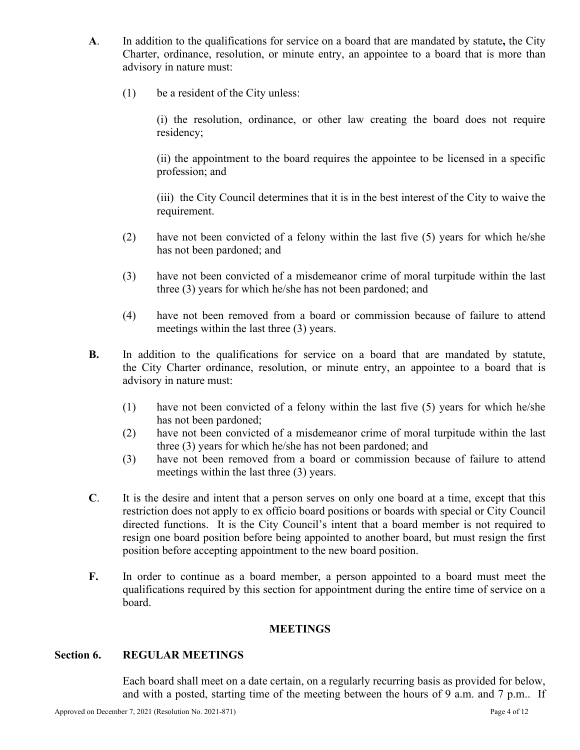- **A**. In addition to the qualifications for service on a board that are mandated by statute**,** the City Charter, ordinance, resolution, or minute entry, an appointee to a board that is more than advisory in nature must:
	- (1) be a resident of the City unless:

(i) the resolution, ordinance, or other law creating the board does not require residency;

(ii) the appointment to the board requires the appointee to be licensed in a specific profession; and

(iii) the City Council determines that it is in the best interest of the City to waive the requirement.

- (2) have not been convicted of a felony within the last five (5) years for which he/she has not been pardoned; and
- (3) have not been convicted of a misdemeanor crime of moral turpitude within the last three (3) years for which he/she has not been pardoned; and
- (4) have not been removed from a board or commission because of failure to attend meetings within the last three (3) years.
- **B.** In addition to the qualifications for service on a board that are mandated by statute, the City Charter ordinance, resolution, or minute entry, an appointee to a board that is advisory in nature must:
	- (1) have not been convicted of a felony within the last five (5) years for which he/she has not been pardoned;
	- (2) have not been convicted of a misdemeanor crime of moral turpitude within the last three (3) years for which he/she has not been pardoned; and
	- (3) have not been removed from a board or commission because of failure to attend meetings within the last three (3) years.
- **C**. It is the desire and intent that a person serves on only one board at a time, except that this restriction does not apply to ex officio board positions or boards with special or City Council directed functions. It is the City Council's intent that a board member is not required to resign one board position before being appointed to another board, but must resign the first position before accepting appointment to the new board position.
- **F.** In order to continue as a board member, a person appointed to a board must meet the qualifications required by this section for appointment during the entire time of service on a board.

## **MEETINGS**

## **Section 6. REGULAR MEETINGS**

Each board shall meet on a date certain, on a regularly recurring basis as provided for below, and with a posted, starting time of the meeting between the hours of 9 a.m. and 7 p.m.. If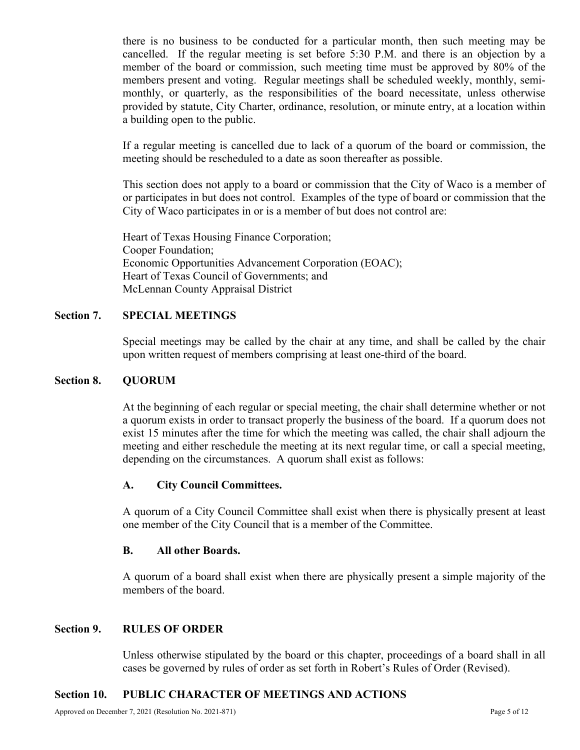there is no business to be conducted for a particular month, then such meeting may be cancelled. If the regular meeting is set before 5:30 P.M. and there is an objection by a member of the board or commission, such meeting time must be approved by 80% of the members present and voting. Regular meetings shall be scheduled weekly, monthly, semimonthly, or quarterly, as the responsibilities of the board necessitate, unless otherwise provided by statute, City Charter, ordinance, resolution, or minute entry, at a location within a building open to the public.

If a regular meeting is cancelled due to lack of a quorum of the board or commission, the meeting should be rescheduled to a date as soon thereafter as possible.

This section does not apply to a board or commission that the City of Waco is a member of or participates in but does not control. Examples of the type of board or commission that the City of Waco participates in or is a member of but does not control are:

Heart of Texas Housing Finance Corporation; Cooper Foundation; Economic Opportunities Advancement Corporation (EOAC); Heart of Texas Council of Governments; and McLennan County Appraisal District

## **Section 7. SPECIAL MEETINGS**

Special meetings may be called by the chair at any time, and shall be called by the chair upon written request of members comprising at least one-third of the board.

## **Section 8. QUORUM**

At the beginning of each regular or special meeting, the chair shall determine whether or not a quorum exists in order to transact properly the business of the board. If a quorum does not exist 15 minutes after the time for which the meeting was called, the chair shall adjourn the meeting and either reschedule the meeting at its next regular time, or call a special meeting, depending on the circumstances. A quorum shall exist as follows:

## **A. City Council Committees.**

A quorum of a City Council Committee shall exist when there is physically present at least one member of the City Council that is a member of the Committee.

## **B. All other Boards.**

A quorum of a board shall exist when there are physically present a simple majority of the members of the board.

## **Section 9. RULES OF ORDER**

Unless otherwise stipulated by the board or this chapter, proceedings of a board shall in all cases be governed by rules of order as set forth in Robert's Rules of Order (Revised).

## **Section 10. PUBLIC CHARACTER OF MEETINGS AND ACTIONS**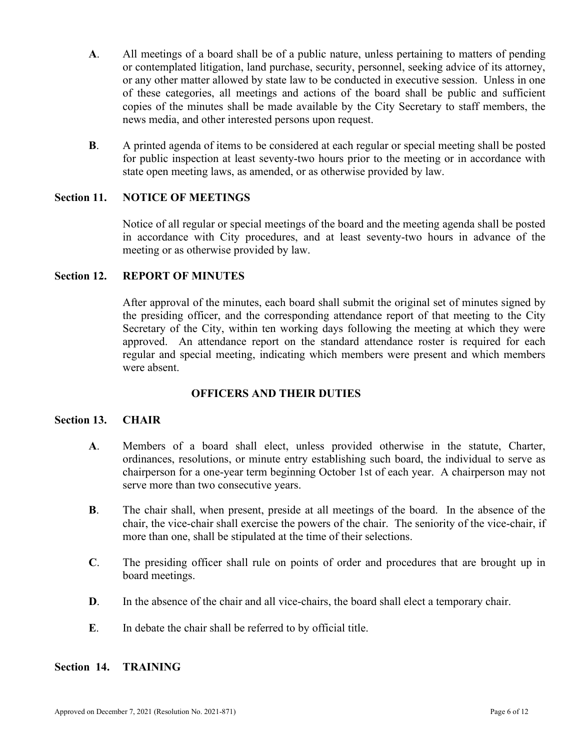- **A**. All meetings of a board shall be of a public nature, unless pertaining to matters of pending or contemplated litigation, land purchase, security, personnel, seeking advice of its attorney, or any other matter allowed by state law to be conducted in executive session. Unless in one of these categories, all meetings and actions of the board shall be public and sufficient copies of the minutes shall be made available by the City Secretary to staff members, the news media, and other interested persons upon request.
- **B**. A printed agenda of items to be considered at each regular or special meeting shall be posted for public inspection at least seventy-two hours prior to the meeting or in accordance with state open meeting laws, as amended, or as otherwise provided by law.

## **Section 11. NOTICE OF MEETINGS**

Notice of all regular or special meetings of the board and the meeting agenda shall be posted in accordance with City procedures, and at least seventy-two hours in advance of the meeting or as otherwise provided by law.

## **Section 12. REPORT OF MINUTES**

After approval of the minutes, each board shall submit the original set of minutes signed by the presiding officer, and the corresponding attendance report of that meeting to the City Secretary of the City, within ten working days following the meeting at which they were approved. An attendance report on the standard attendance roster is required for each regular and special meeting, indicating which members were present and which members were absent.

## **OFFICERS AND THEIR DUTIES**

## **Section 13. CHAIR**

- **A**. Members of a board shall elect, unless provided otherwise in the statute, Charter, ordinances, resolutions, or minute entry establishing such board, the individual to serve as chairperson for a one-year term beginning October 1st of each year. A chairperson may not serve more than two consecutive years.
- **B**. The chair shall, when present, preside at all meetings of the board. In the absence of the chair, the vice-chair shall exercise the powers of the chair. The seniority of the vice-chair, if more than one, shall be stipulated at the time of their selections.
- **C**. The presiding officer shall rule on points of order and procedures that are brought up in board meetings.
- **D.** In the absence of the chair and all vice-chairs, the board shall elect a temporary chair.
- **E**. In debate the chair shall be referred to by official title.

## **Section 14. TRAINING**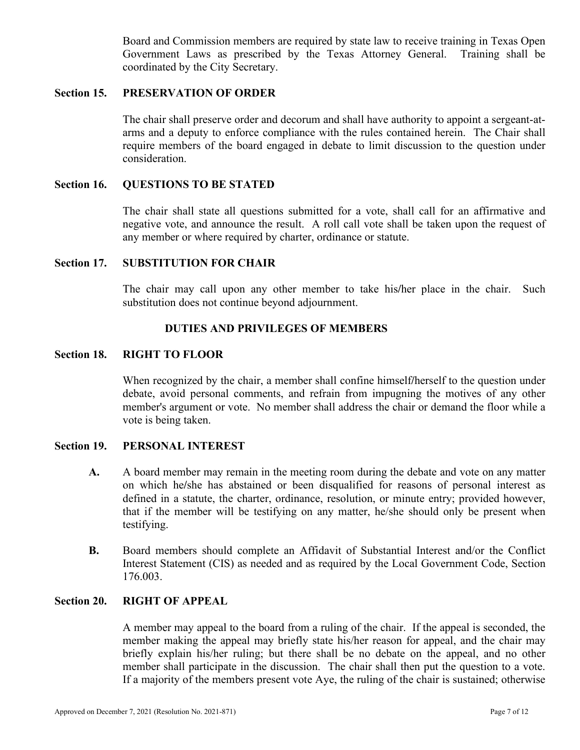Board and Commission members are required by state law to receive training in Texas Open Government Laws as prescribed by the Texas Attorney General. Training shall be coordinated by the City Secretary.

## **Section 15. PRESERVATION OF ORDER**

The chair shall preserve order and decorum and shall have authority to appoint a sergeant-atarms and a deputy to enforce compliance with the rules contained herein. The Chair shall require members of the board engaged in debate to limit discussion to the question under consideration.

## **Section 16. QUESTIONS TO BE STATED**

The chair shall state all questions submitted for a vote, shall call for an affirmative and negative vote, and announce the result. A roll call vote shall be taken upon the request of any member or where required by charter, ordinance or statute.

#### **Section 17. SUBSTITUTION FOR CHAIR**

The chair may call upon any other member to take his**/**her place in the chair. Such substitution does not continue beyond adjournment.

### **DUTIES AND PRIVILEGES OF MEMBERS**

#### **Section 18. RIGHT TO FLOOR**

When recognized by the chair, a member shall confine himself**/**herself to the question under debate, avoid personal comments, and refrain from impugning the motives of any other member's argument or vote. No member shall address the chair or demand the floor while a vote is being taken.

#### **Section 19. PERSONAL INTEREST**

- **A.** A board member may remain in the meeting room during the debate and vote on any matter on which he**/**she has abstained or been disqualified for reasons of personal interest as defined in a statute, the charter, ordinance, resolution, or minute entry; provided however, that if the member will be testifying on any matter, he/she should only be present when testifying.
- **B.** Board members should complete an Affidavit of Substantial Interest and/or the Conflict Interest Statement (CIS) as needed and as required by the Local Government Code, Section 176.003.

## **Section 20. RIGHT OF APPEAL**

A member may appeal to the board from a ruling of the chair. If the appeal is seconded, the member making the appeal may briefly state his/her reason for appeal, and the chair may briefly explain his/her ruling; but there shall be no debate on the appeal, and no other member shall participate in the discussion. The chair shall then put the question to a vote. If a majority of the members present vote Aye, the ruling of the chair is sustained; otherwise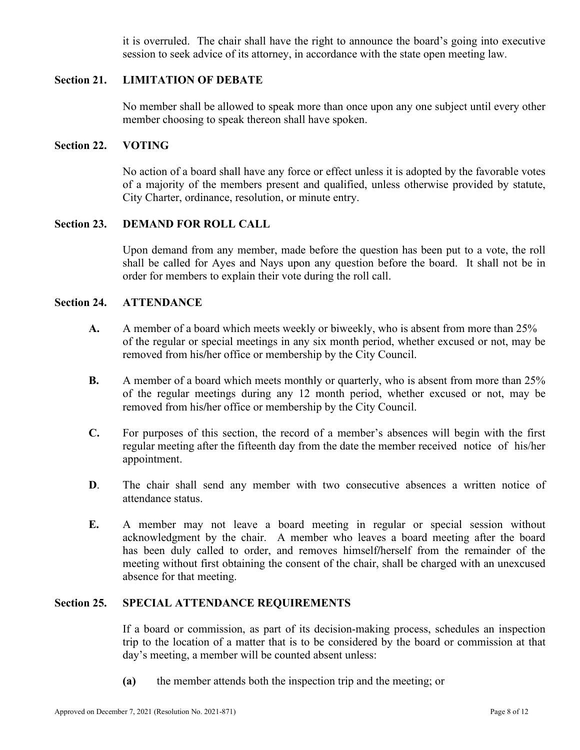it is overruled. The chair shall have the right to announce the board's going into executive session to seek advice of its attorney, in accordance with the state open meeting law.

## **Section 21. LIMITATION OF DEBATE**

No member shall be allowed to speak more than once upon any one subject until every other member choosing to speak thereon shall have spoken.

#### **Section 22. VOTING**

No action of a board shall have any force or effect unless it is adopted by the favorable votes of a majority of the members present and qualified, unless otherwise provided by statute, City Charter, ordinance, resolution, or minute entry.

#### **Section 23. DEMAND FOR ROLL CALL**

Upon demand from any member, made before the question has been put to a vote, the roll shall be called for Ayes and Nays upon any question before the board. It shall not be in order for members to explain their vote during the roll call.

### **Section 24. ATTENDANCE**

- **A.** A member of a board which meets weekly or biweekly, who is absent from more than 25% of the regular or special meetings in any six month period, whether excused or not, may be removed from his**/**her office or membership by the City Council.
- **B.** A member of a board which meets monthly or quarterly, who is absent from more than 25% of the regular meetings during any 12 month period, whether excused or not, may be removed from his**/**her office or membership by the City Council.
- **C.** For purposes of this section, the record of a member's absences will begin with the first regular meeting after the fifteenth day from the date the member received notice of his/her appointment.
- **D**. The chair shall send any member with two consecutive absences a written notice of attendance status.
- **E.** A member may not leave a board meeting in regular or special session without acknowledgment by the chair. A member who leaves a board meeting after the board has been duly called to order, and removes himself**/**herself from the remainder of the meeting without first obtaining the consent of the chair, shall be charged with an unexcused absence for that meeting.

#### **Section 25. SPECIAL ATTENDANCE REQUIREMENTS**

If a board or commission, as part of its decision-making process, schedules an inspection trip to the location of a matter that is to be considered by the board or commission at that day's meeting, a member will be counted absent unless:

**(a)** the member attends both the inspection trip and the meeting; or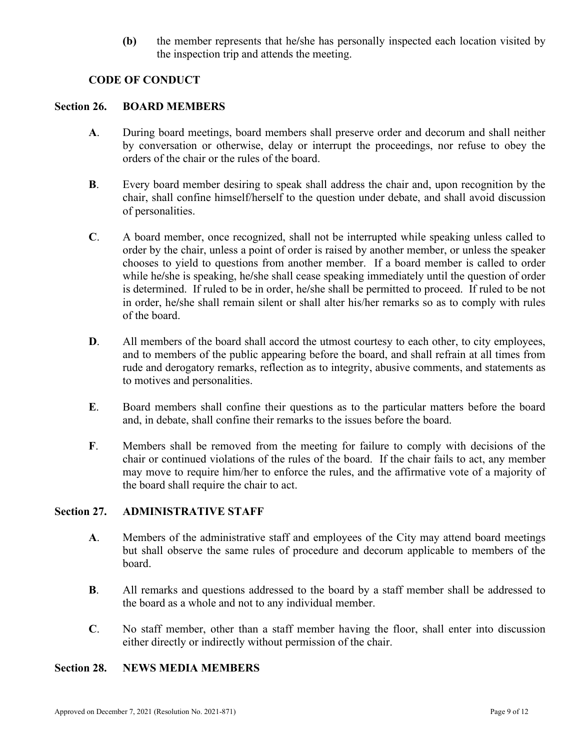**(b)** the member represents that he**/**she has personally inspected each location visited by the inspection trip and attends the meeting.

## **CODE OF CONDUCT**

## **Section 26. BOARD MEMBERS**

- **A**. During board meetings, board members shall preserve order and decorum and shall neither by conversation or otherwise, delay or interrupt the proceedings, nor refuse to obey the orders of the chair or the rules of the board.
- **B**. Every board member desiring to speak shall address the chair and, upon recognition by the chair, shall confine himself/herself to the question under debate, and shall avoid discussion of personalities.
- **C**. A board member, once recognized, shall not be interrupted while speaking unless called to order by the chair, unless a point of order is raised by another member, or unless the speaker chooses to yield to questions from another member. If a board member is called to order while he**/**she is speaking, he**/**she shall cease speaking immediately until the question of order is determined. If ruled to be in order, he**/**she shall be permitted to proceed. If ruled to be not in order, he**/**she shall remain silent or shall alter his/her remarks so as to comply with rules of the board.
- **D.** All members of the board shall accord the utmost courtesy to each other, to city employees, and to members of the public appearing before the board, and shall refrain at all times from rude and derogatory remarks, reflection as to integrity, abusive comments, and statements as to motives and personalities.
- **E**. Board members shall confine their questions as to the particular matters before the board and, in debate, shall confine their remarks to the issues before the board.
- **F**. Members shall be removed from the meeting for failure to comply with decisions of the chair or continued violations of the rules of the board. If the chair fails to act, any member may move to require him/her to enforce the rules, and the affirmative vote of a majority of the board shall require the chair to act.

## **Section 27. ADMINISTRATIVE STAFF**

- **A**. Members of the administrative staff and employees of the City may attend board meetings but shall observe the same rules of procedure and decorum applicable to members of the board.
- **B**. All remarks and questions addressed to the board by a staff member shall be addressed to the board as a whole and not to any individual member.
- **C**. No staff member, other than a staff member having the floor, shall enter into discussion either directly or indirectly without permission of the chair.

## **Section 28. NEWS MEDIA MEMBERS**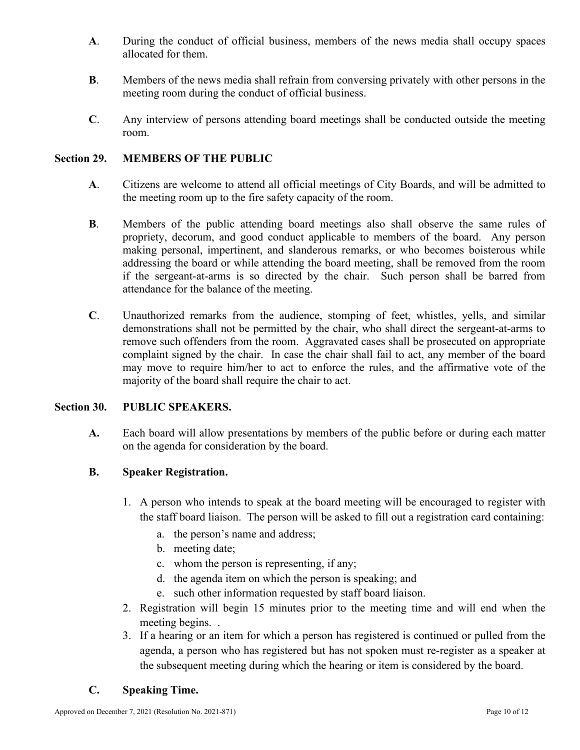- **A**. During the conduct of official business, members of the news media shall occupy spaces allocated for them.
- **B**. Members of the news media shall refrain from conversing privately with other persons in the meeting room during the conduct of official business.
- **C**. Any interview of persons attending board meetings shall be conducted outside the meeting room.

## **Section 29. MEMBERS OF THE PUBLIC**

- **A**. Citizens are welcome to attend all official meetings of City Boards, and will be admitted to the meeting room up to the fire safety capacity of the room.
- **B**. Members of the public attending board meetings also shall observe the same rules of propriety, decorum, and good conduct applicable to members of the board. Any person making personal, impertinent, and slanderous remarks, or who becomes boisterous while addressing the board or while attending the board meeting, shall be removed from the room if the sergeant-at-arms is so directed by the chair. Such person shall be barred from attendance for the balance of the meeting.
- **C**. Unauthorized remarks from the audience, stomping of feet, whistles, yells, and similar demonstrations shall not be permitted by the chair, who shall direct the sergeant-at-arms to remove such offenders from the room. Aggravated cases shall be prosecuted on appropriate complaint signed by the chair. In case the chair shall fail to act, any member of the board may move to require him/her to act to enforce the rules, and the affirmative vote of the majority of the board shall require the chair to act.

## **Section 30. PUBLIC SPEAKERS.**

**A.** Each board will allow presentations by members of the public before or during each matter on the agenda for consideration by the board.

## **B. Speaker Registration.**

- 1. A person who intends to speak at the board meeting will be encouraged to register with the staff board liaison. The person will be asked to fill out a registration card containing:
	- a. the person's name and address;
	- b. meeting date;
	- c. whom the person is representing, if any;
	- d. the agenda item on which the person is speaking; and
	- e. such other information requested by staff board liaison.
- 2. Registration will begin 15 minutes prior to the meeting time and will end when the meeting begins. .
- 3. If a hearing or an item for which a person has registered is continued or pulled from the agenda, a person who has registered but has not spoken must re-register as a speaker at the subsequent meeting during which the hearing or item is considered by the board.

## **C. Speaking Time.**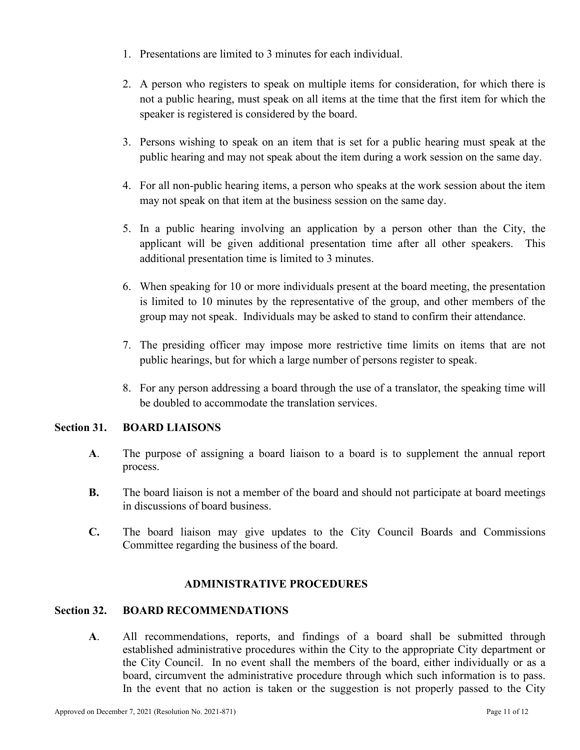- 1. Presentations are limited to 3 minutes for each individual.
- 2. A person who registers to speak on multiple items for consideration, for which there is not a public hearing, must speak on all items at the time that the first item for which the speaker is registered is considered by the board.
- 3. Persons wishing to speak on an item that is set for a public hearing must speak at the public hearing and may not speak about the item during a work session on the same day.
- 4. For all non-public hearing items, a person who speaks at the work session about the item may not speak on that item at the business session on the same day.
- 5. In a public hearing involving an application by a person other than the City, the applicant will be given additional presentation time after all other speakers. This additional presentation time is limited to 3 minutes.
- 6. When speaking for 10 or more individuals present at the board meeting, the presentation is limited to 10 minutes by the representative of the group, and other members of the group may not speak. Individuals may be asked to stand to confirm their attendance.
- 7. The presiding officer may impose more restrictive time limits on items that are not public hearings, but for which a large number of persons register to speak.
- 8. For any person addressing a board through the use of a translator, the speaking time will be doubled to accommodate the translation services.

## **Section 31. BOARD LIAISONS**

- **A**. The purpose of assigning a board liaison to a board is to supplement the annual report process.
- **B.** The board liaison is not a member of the board and should not participate at board meetings in discussions of board business.
- **C.** The board liaison may give updates to the City Council Boards and Commissions Committee regarding the business of the board.

## **ADMINISTRATIVE PROCEDURES**

## **Section 32. BOARD RECOMMENDATIONS**

**A**. All recommendations, reports, and findings of a board shall be submitted through established administrative procedures within the City to the appropriate City department or the City Council. In no event shall the members of the board, either individually or as a board, circumvent the administrative procedure through which such information is to pass. In the event that no action is taken or the suggestion is not properly passed to the City